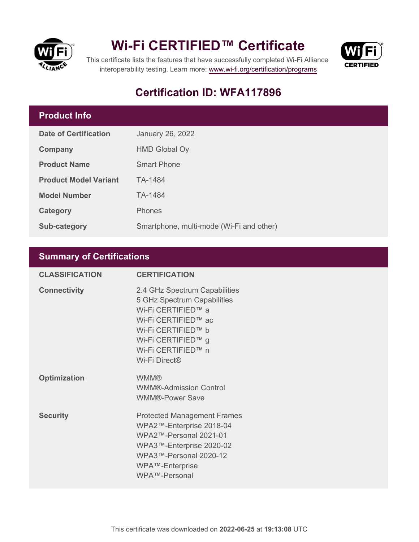



This certificate lists the features that have successfully completed Wi-Fi Alliance interoperability testing. Learn more:<www.wi-fi.org/certification/programs>

## **Certification ID: WFA117896**

### **Product Info**

| <b>Date of Certification</b> | <b>January 26, 2022</b>                  |
|------------------------------|------------------------------------------|
| Company                      | <b>HMD Global Oy</b>                     |
| <b>Product Name</b>          | <b>Smart Phone</b>                       |
| <b>Product Model Variant</b> | TA-1484                                  |
| <b>Model Number</b>          | TA-1484                                  |
| Category                     | <b>Phones</b>                            |
| <b>Sub-category</b>          | Smartphone, multi-mode (Wi-Fi and other) |

### **Summary of Certifications**

| <b>CLASSIFICATION</b> | <b>CERTIFICATION</b>                                                                                                                                                                                     |
|-----------------------|----------------------------------------------------------------------------------------------------------------------------------------------------------------------------------------------------------|
| <b>Connectivity</b>   | 2.4 GHz Spectrum Capabilities<br>5 GHz Spectrum Capabilities<br>Wi-Fi CERTIFIED™ a<br>Wi-Fi CERTIFIED™ ac<br>Wi-Fi CERTIFIED™ b<br>Wi-Fi CERTIFIED™ g<br>Wi-Fi CERTIFIED™ n<br>Wi-Fi Direct <sup>®</sup> |
| <b>Optimization</b>   | <b>WMM®</b><br><b>WMM®-Admission Control</b><br><b>WMM®-Power Save</b>                                                                                                                                   |
| <b>Security</b>       | <b>Protected Management Frames</b><br>WPA2™-Enterprise 2018-04<br>WPA2™-Personal 2021-01<br>WPA3™-Enterprise 2020-02<br>WPA3™-Personal 2020-12<br>WPA™-Enterprise<br>WPA™-Personal                       |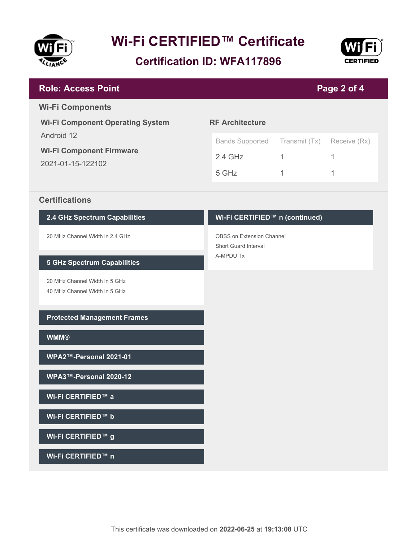

**Certification ID: WFA117896**



| <b>Role: Access Point</b>               | Page 2 of 4            |               |              |
|-----------------------------------------|------------------------|---------------|--------------|
| <b>Wi-Fi Components</b>                 |                        |               |              |
| <b>Wi-Fi Component Operating System</b> | <b>RF Architecture</b> |               |              |
| Android 12                              | <b>Bands Supported</b> | Transmit (Tx) | Receive (Rx) |
| <b>Wi-Fi Component Firmware</b>         | $2.4$ GHz              |               | 1            |
| 2021-01-15-122102                       | 5 GHz                  |               | 1            |
|                                         |                        |               |              |
| <b>Certifications</b>                   |                        |               |              |

**2.4 GHz Spectrum Capabilities**

20 MHz Channel Width in 2.4 GHz

#### **5 GHz Spectrum Capabilities**

20 MHz Channel Width in 5 GHz 40 MHz Channel Width in 5 GHz

**Protected Management Frames**

**WMM®**

**WPA2™-Personal 2021-01**

**WPA3™-Personal 2020-12**

**Wi-Fi CERTIFIED™ a**

**Wi-Fi CERTIFIED™ b**

**Wi-Fi CERTIFIED™ g**

**Wi-Fi CERTIFIED™ n**

## **Wi-Fi CERTIFIED™ n (continued)**

OBSS on Extension Channel Short Guard Interval A-MPDU Tx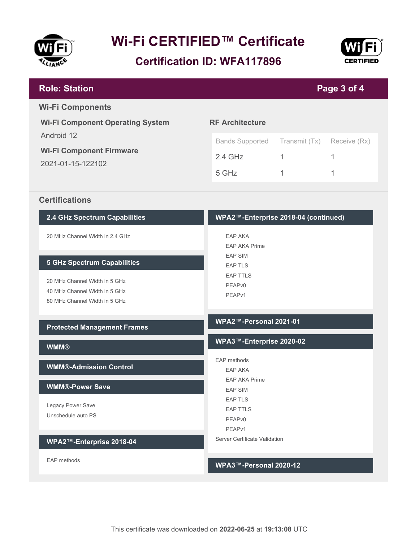

**Certification ID: WFA117896**



| <b>Role: Station</b>                                              | Page 3 of 4                          |               |              |  |
|-------------------------------------------------------------------|--------------------------------------|---------------|--------------|--|
| <b>Wi-Fi Components</b>                                           |                                      |               |              |  |
| <b>RF Architecture</b><br><b>Wi-Fi Component Operating System</b> |                                      |               |              |  |
| Android 12                                                        | <b>Bands Supported</b>               | Transmit (Tx) | Receive (Rx) |  |
| <b>Wi-Fi Component Firmware</b>                                   | $2.4$ GHz                            | 1             | 1            |  |
| 2021-01-15-122102                                                 |                                      |               |              |  |
|                                                                   | 5 GHz                                | 1             | 1            |  |
| <b>Certifications</b>                                             |                                      |               |              |  |
| 2.4 GHz Spectrum Capabilities                                     | WPA2™-Enterprise 2018-04 (continued) |               |              |  |
| 20 MHz Channel Width in 2.4 GHz                                   | EAP AKA                              |               |              |  |
|                                                                   | <b>EAP AKA Prime</b>                 |               |              |  |
| <b>5 GHz Spectrum Capabilities</b>                                | <b>EAP SIM</b><br><b>EAP TLS</b>     |               |              |  |
|                                                                   | <b>EAP TTLS</b>                      |               |              |  |
| 20 MHz Channel Width in 5 GHz                                     | PEAP <sub>v0</sub>                   |               |              |  |
| 40 MHz Channel Width in 5 GHz                                     | PEAP <sub>v1</sub>                   |               |              |  |
| 80 MHz Channel Width in 5 GHz                                     |                                      |               |              |  |
| <b>Protected Management Frames</b>                                | WPA2™-Personal 2021-01               |               |              |  |
| <b>WMM®</b>                                                       | WPA3™-Enterprise 2020-02             |               |              |  |
|                                                                   | EAP methods                          |               |              |  |
| <b>WMM®-Admission Control</b>                                     | <b>EAP AKA</b>                       |               |              |  |
| <b>WMM®-Power Save</b>                                            | <b>EAP AKA Prime</b>                 |               |              |  |
|                                                                   | <b>EAP SIM</b>                       |               |              |  |
| Legacy Power Save                                                 | <b>EAP TLS</b><br><b>EAP TTLS</b>    |               |              |  |
| Unschedule auto PS                                                | PEAPv0                               |               |              |  |
|                                                                   | PEAPv1                               |               |              |  |
| WPA2™-Enterprise 2018-04                                          | Server Certificate Validation        |               |              |  |
| EAP methods                                                       | WPA3™-Personal 2020-12               |               |              |  |